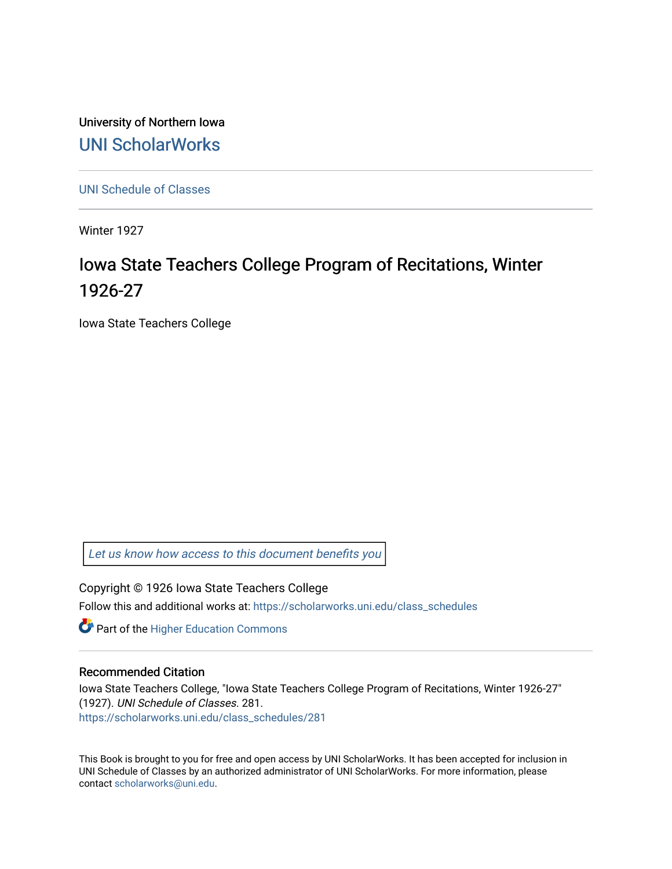University of Northern Iowa [UNI ScholarWorks](https://scholarworks.uni.edu/) 

[UNI Schedule of Classes](https://scholarworks.uni.edu/class_schedules) 

Winter 1927

# Iowa State Teachers College Program of Recitations, Winter 1926-27

Iowa State Teachers College

[Let us know how access to this document benefits you](https://scholarworks.uni.edu/feedback_form.html) 

Copyright © 1926 Iowa State Teachers College

Follow this and additional works at: [https://scholarworks.uni.edu/class\\_schedules](https://scholarworks.uni.edu/class_schedules?utm_source=scholarworks.uni.edu%2Fclass_schedules%2F281&utm_medium=PDF&utm_campaign=PDFCoverPages)

**Part of the Higher Education Commons** 

# Recommended Citation

Iowa State Teachers College, "Iowa State Teachers College Program of Recitations, Winter 1926-27" (1927). UNI Schedule of Classes. 281. [https://scholarworks.uni.edu/class\\_schedules/281](https://scholarworks.uni.edu/class_schedules/281?utm_source=scholarworks.uni.edu%2Fclass_schedules%2F281&utm_medium=PDF&utm_campaign=PDFCoverPages) 

This Book is brought to you for free and open access by UNI ScholarWorks. It has been accepted for inclusion in UNI Schedule of Classes by an authorized administrator of UNI ScholarWorks. For more information, please contact [scholarworks@uni.edu.](mailto:scholarworks@uni.edu)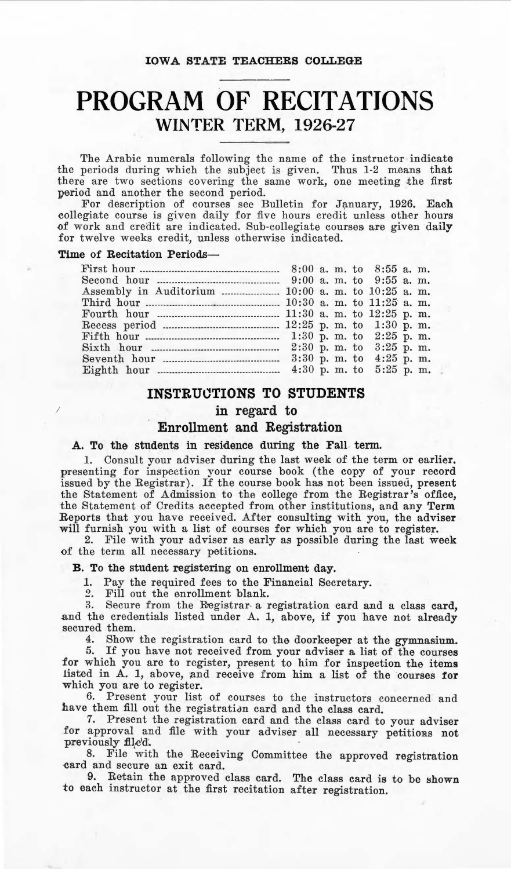# **PROGRAM OF RECITATIONS WINTER TERM, 1926-27**

The Arabic numerals following the name of the instructor indicate the periods during which the subject is given. Thus 1-2 means that there are two sections covering the same work, one meeting the first period and another the second period.

For description of courses see Bulletin for January, 1926. Each collegiate course is given daily for five hours credit unless other hours of work and credit are indicated. Sub-collegiate courses are given daily for twelve weeks credit, unless otherwise indicated.

## **Time of Recitation Periods-**

*I* 

| Assembly in Auditorium  10:00 a. m. to 10:25 a. m. |  |  |  |  |
|----------------------------------------------------|--|--|--|--|
|                                                    |  |  |  |  |
|                                                    |  |  |  |  |
|                                                    |  |  |  |  |
|                                                    |  |  |  |  |
|                                                    |  |  |  |  |
|                                                    |  |  |  |  |
|                                                    |  |  |  |  |

# **INSTRU0TIONS TO STUDENTS**

# **in regard to**

# **Enrollment and Registration**

## A. To the students in residence during the Fall term.

1. Consult your adviser during the last week of the term or earlier. presenting for inspection your course book (the copy of your record issued by the Registrar). If the course book has not been issued, present the Statement of Admission to the college from the Registrar's office, the Statement of Credits accepted from other institutions, and any **Term**  Reports that you have received. After consulting with you, the adviser will furnish you with a list of courses for which you are to register.

2. File with your adviser as early as possible during the last week of the term all necessary petitions.

# **B.** To the student registering on enrollment day.

1. Pay the required fees to the Financial Secretary.

2. Fill out the enrollment blank.

3. Secure from the Registrar- a registration card and a class card, and the credentials listed under A. 1, above, if you have not already secured them.

4. Show the registration card to the doorkeeper at the gymnasium.

5. If you have not received from your adviser a list of the courses for which you are to register, present to him for inspection the items listed in A. 1, above, and receive from him a list of the courses for which you are to register.

6. Present your list of courses to the instructors concerned and have them fill out the registration card and the class card.

7. Present the registration card and the class card to your adviser for approval and file with your adviser all necessary petitions not previously file'd.

8. File with the Receiving Committee the approved registration card and secure an exit card.

9. Retain the approved class card. The class card is to be shown to each instructor at the first recitation after registration.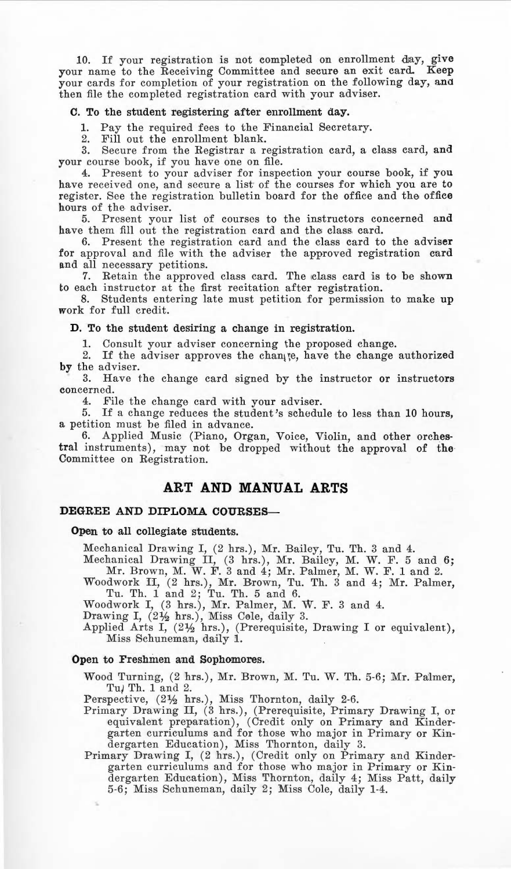10. If your registration is not completed on enrollment day, give your name to the Receiving Committee and secure an exit card. Keep your cards for completion of your registration on the following day, and then file the completed registration card with your adviser.

#### C. To the student registering after enrollment day.

1. Pay the required fees to the Financial Secretary.

Fill out the enrollment blank.

3. Secure from the Registrar a registration card, a class card, and your course book, if you have one on file.

4. Present to your adviser for inspection your course book, if you have received one, and secure a list of the courses for which you are to register. See the registration bulletin board for the office and the office hours of the adviser.

5. Present your list of courses to the instructors concerned and have them fill out the registration card and the class card.

6. Present the registration card and the class card to the adviser for approval and file with the adviser the approved registration card and all necessary petitions.

7. Retain the approved class card. The class card is to be shown to each instructor at the first recitation after registration.

8. Students entering late must petition for permission to make up work for full credit.

#### **D.** To the student desiring a change in registration.

**1.** Consult your adviser concerning the proposed change.

2. If the adviser approves the change, have the change authorized **by** the adviser.

3. Have the change card signed by the instructor or instructors concerned.

4. File the change card with your adviser.

5. If a change reduces the student's schedule to less than 10 hours, a petition must be filed in advance.

*6.* Applied Music (Piano, Organ, Voice, Violin, and other orchestral instruments), may not be dropped without the approval of the Committee on Registration.

# **ART AND MANUAL ARTS**

# **DEGREE AND DIPLOMA COURSES-**

#### Open to all collegiate students.

Mechanical Drawing I, (2 hrs.), Mr. Bailey, Tu. Th. 3 and 4.

Mechanical Drawing II, (3 hrs.), Mr. Bailey, M. W. F. 5 and 6; Mr. Brown, M. W. F. 3 and 4; Mr. Palmer, M. W. F. 1 and 2.

Woodwork II, (2 hrs.), Mr. Brown, Tu. Th. 3 and 4; Mr. Palmer, Tu. Th. 1 and 2; Tu. Th. 5 and 6.<br>Woodwork I, (3 hrs.), Mr. Palmer, M. W. F. 3 and 4.<br>Drawing I, (2½ hrs.), Miss Cole, daily 3.

Applied Arts I, (2½ hrs.), (Prerequisite, Drawing I or equivalent), Miss Schuneman, daily 1.

#### **Open** to Freshmen and Sophomores.

Wood Turning, (2 hrs.), Mr. Brown, M. Tu. W. Th. 5-6; Mr. Palmer, Tu/ Th. 1 and 2.

Perspective, (2½ hrs.), Miss Thornton, daily 2-6.

- Primary Drawing II, (3 hrs.), (Prerequisite, Primary Drawing I, or equivalent preparation), (Credit only on Primary and Kindergarten curriculums and for those who major in Primary or Kindergarten Education), Miss Thornton, daily 3.
- Primary Drawing I, (2 hrs.), (Credit only on Primary and Kindergarten curriculums and for those who major in Primary or Kindergarten Education), Miss Thornton, daily 4; Miss Patt, daily 5-6; Miss Schuneman, daily 2; Miss Cole, daily 1-4.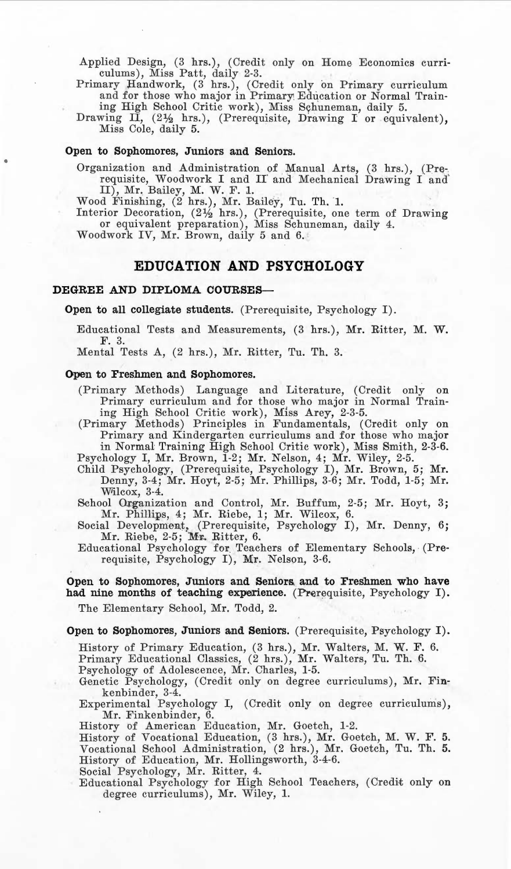Applied Design, (3 hrs.), (Credit only on Home Economics curri· culums), Miss Patt, daily 2-3.

Primary Handwork, (3 hrs.), (Credit only on Primary curriculum and for those who major in Primary, Education or Normal Training High School Critic work), Miss Syhuneman, daily 5.

Drawing II,  $(2\frac{1}{2}$  hrs.), (Prerequisite, Drawing I or equivalent), Miss Cole, daily 5.

## **Open to Sophomores, Juniors and Seniors.**

Organization and Administration of Manual Arts, (3 hrs.), (Prerequisite, Woodwork I and II and Mechanical Drawing I and II), Mr. Bailey, M. W. F. 1.<br>Wood Finishing, (2 hrs.), Mr. Bailey, Tu. Th. 1.

Interior Decoration, (2½ hrs.), (Prerequisite, one term of Drawing or equivalent preparation), Miss Schuneman, daily 4. Woodwork IV, Mr. Brown, daily 5 and 6.

# **EDUCATION AND PSYCHOLOGY**

## **DEGREE AND DIPLOMA COURSES-**

Open to all collegiate students. (Prerequisite, Psychology I).

Educational Tests and Measurements, (3 hrs.), Mr. Ritter, M. W. F. 3.

Mental Tests A, (2 hrs.), Mr. Ritter, Tu. Th. 3.

#### Open to Freshmen and Sophomores.

(Primary Methods) Language and Literature, (Credit only on Primary curriculum and for those who major in Normal Train· ing High School Critic work) , M1ss Arey, 2-3·5. (Primary Methods) Principles in Fundamentals, (Credit only on

Primary and Kindergarten curriculums and for those who major in Normal Training High School Critic work), Miss Smith, 2-3-6. Psychology I, Mr. Brown, 1-2; Mr. Nelson, 4; Mr. Wiley, 2-5.

Child Psychology, (Prerequisite, Psychology I), Mr. Brown, 5; Mr. Denny, 3-4; Mr. Hoyt, 2-5; Mr. Phillips, 3-6; Mr. Todd, 1-5; Mr.<br>Wilcox, 3-4.

School Organization and Control, Mr. Buffum, 2-5; Mr. Hoyt, 3;

Mr. Phillips, 4; Mr. Riebe, 1; Mr. Wilcox, 6. Social Development, (Prerequisite, Psychology I), Mr. Denny, 6; Mr. Riebe, 2-5; Mr. Ritter, 6.

Educational Psychology for Teachers of Elementary Schools, (Pre· requisite, Psychology I), Mr. Nelson, 3-6.

## Open to Sophomores, Juniors and Seniors and to Freshmen who have had nine months of teaching experience. (Prerequisite, Psychology I).

The Elementary School, Mr. Todd, 2.

Open to Sophomores, Juniors and Seniors. (Prerequisite, Psychology I).

History of Primary Education, (3 hrs.), Mr. Walters, M. W. F. 6.

Primary Educational Classics, (2 hrs.), Mr. Walters, Tu. Th. 6.

Psychology of Adolescence, Mr. Charles, 1-5.

Genetic Psychology, (Credit only on degree curriculums), Mr. Fin• kenbinder, 3-4.

Experimental Psychology I, (Credit only on degree curriculums), Mr. Finkenbinder, 6. History of American Education, Mr. Goetch, 1-2.

History of Vocational Education, (3 hrs.), Mr. Goetch, M. W. F. 5. Vocational School Administration, (2 hrs.), Mr. Goetch, Tu. Th. 5. History of Education, Mr. Hollingsworth, 3-4-6.

Social Psychology, Mr. Ritter, 4.

Educational Psychology for High School Teachers, (Credit only on degree curriculums), Mr. Wiley, 1.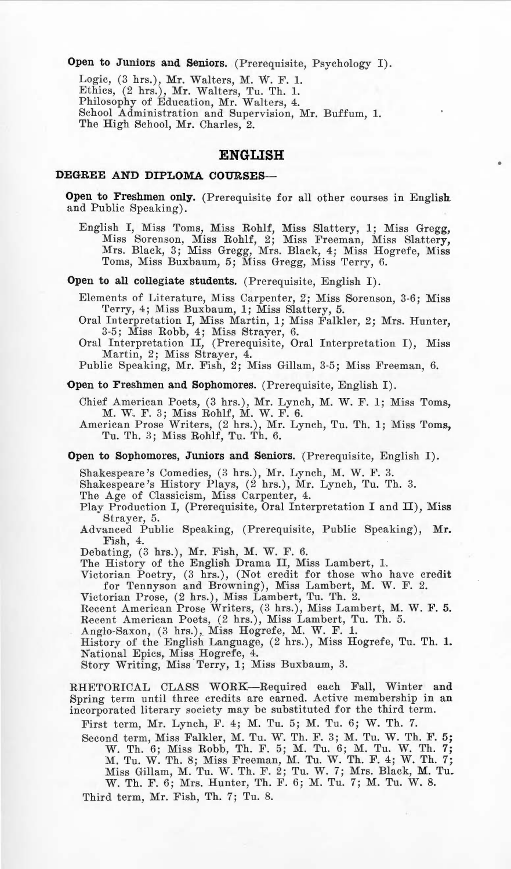Open to Juniors and Seniors. (Prerequisite, Psychology I).

Logic, (3 hrs.), Mr. Walters, M. W. F. 1. Ethics, (2 hrs.), Mr. Walters, Tu. Th. 1. Philosophy of Education, Mr. Walters, 4. School Administration and Supervision, Mr. Buffum, 1. The High School, Mr. Charles, 2.

# **ENGLISH**

#### **DEGREE AND DIPLOMA COURSES-**

**Open to Freshmen only.** (Prerequisite for all other courses in English and Public Speaking).

English I, Miss Toms, Miss Rohlf, Miss Slattery, l; Miss Gregg, Miss Sorenson, Miss Rohlf, 2; Miss Freeman, Miss Slattery, Mrs. Black, 3; Miss Gregg, Mrs. Black, 4; Miss Hogrefe, Miss Toms, Miss Buxbaum, 5; Miss Gregg, Miss Terry, 6.

**Open to all collegiate students.** (Prerequisite, English I).

Elements of Literature, Miss Carpenter, 2; Miss Sorenson, 3-6; Miss Terry, 4; Miss Buxbaum, 1; Miss Slattery, 5.

Oral Interpretation I, Miss Martin, 1; Miss Falkler, 2; Mrs. Hunter, 3-5; Miss Robb, 4; Miss Strayer, 6. Oral Interpretation II, (Prerequisite, Oral Interpretation I), Miss

Martin, 2; Miss Strayer, 4.

Public Speaking, **Mr.** Fish, 2; Miss Gillam, 3-5; Miss Freeman, 6.

**Open to Freshmen and Sophomores.** (Prerequisite, English I).

Chief American Poets, (3 hrs.), Mr. Lynch, M. W. F. 1; Miss Toms, M. W. F. 3; Miss Rohlf, M. W. F. 6.

American Prose Writers, (2 hrs.), Mr. Lynch, Tu. Th. 1; Miss Toms, Tu. Th. 3; Miss Rohlf, Tu. Th. 6.

Open to Sophomores, Juniors and Seniors. (Prerequisite, English I).

Shakespeare's Comedies, (3 hrs.), Mr. Lynch, M. W. F. 3. Shakespeare's History Plays, (2 hrs.) , Mr. Lynch, Tu. 'l'h. 3.

The Age of Classicism, Miss Carpenter, 4.

Play Production I, (Prerequisite, Oral Interpretation I and II), Miss Strayer, 5.

Advanced Public Speaking, (Prerequisite, Public Speaking), Mr. Fish, 4.

Debating, (3 hrs.), Mr. Fish, M. W. F. 6.

The History of the English Drama II, Miss Lambert, 1.

Victorian Poetry, (3 hrs.), (Not credit for those who have credit for Tennyson and Browning), Miss Lambert, M. W. F. 2.

Victorian Prose, (2 hrs.), Miss Lambert, Tu. Th. 2.<br>Recent American Prose Writers, (3 hrs.), Miss Lambert, M. W. F. 5. Recent American Poets, (2 hrs.), Miss Lambert, Tu. Th. 5.

Anglo-Saxon, (3 hrs.), Miss Hogrefe, M. W. F. 1.<br>History of the English Language, (2 hrs.), Miss Hogrefe, Tu. Th. 1**.** National Epics, Miss Hogrefe, 4. Story Writing, Miss Terry, l; Miss Buxbaum, 3.

RHETORICAL CLASS WORK-Required each Fall, Winter and Spring term until three credits are earned. Active membership in an incorporated literary society may be substituted for the third term.

First term, Mr. Lynch, F. 4; M. Tu. 5; M. Tu. 6; W. Th. 7.

Second term, Miss Falkler, M. Tu. W. Th. F. 3; M. Tu. W. Th. F. 5; W. Th. 6; Miss Robb, Th. F. 5; M. Tu. 6; M. Tu. W. Th. 7; M. Tu. W. Th. 8; Miss Freeman, M. Tu. W. Th. F. 4; W. Th. 7; Miss Gillam, M. Tu. W. Th. F. 2; Tu. W. 7; Mrs. Black, M. Tu. W. Th. F. 6; Mrs. Hunter, Th. F. 6; M. Tu. 7; M. Tu. W. 8.

Third term, Mr. Fish, Th. 7; Tu. 8.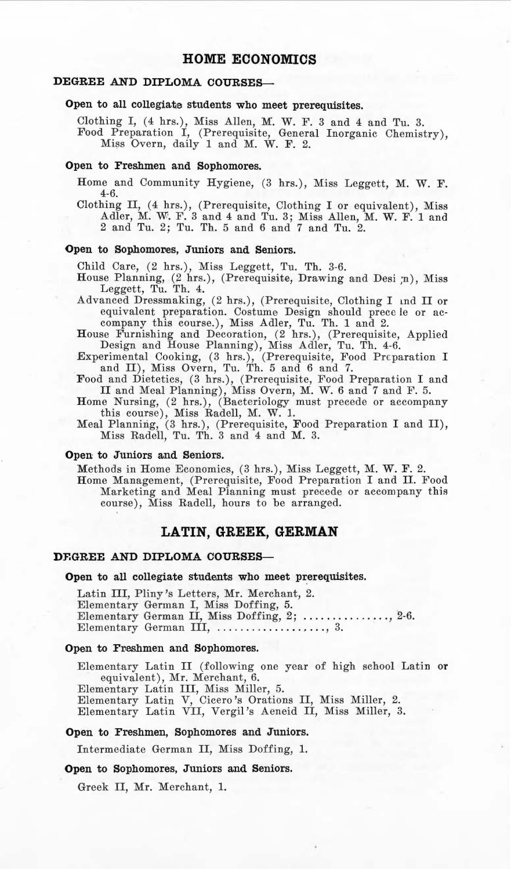# **HOME ECONOMICS**

# **DEGREE AND DIPLOMA COURSES-**

# Open to all collegiate students who meet prerequisites.

Clothing I, (4 hrs.), Miss Allen, M. W. F. 3 and 4 and Tu. 3. Food Preparation I, (Prerequisite, General Inorganic Chemistry), Miss Overn, daily 1 and M. W. F. 2.

#### **Open** to Freshmen and Sophomores.

Home and Community Hygiene, (3 hrs.), Miss Leggett, M. W. F. 4-6.

Clothing II, (4 hrs.), (Prerequisite, Clothing I or equivalent), Miss Adler, M. vV. F. 3 and 4 and Tu. 3; Miss Allen, M. W. F. 1 and 2 and Tu. 2; Tu. Th. 5 and 6 and 7 and Tu. 2.

## **Open to Sophomores, Juniors and Seniors.**

Child Care, (2 hrs.), Miss Leggett, Tu. Th. 3-6.

- House Planning, (2 hrs.), (Prerequisite, Drawing and Desi ;n), Miss Leggett, Tu. Th. 4.
- Advanced Dressmaking, (2 hrs.), (Prerequisite, Clothing I and II or equivalent preparation. Costume, Design should precc le or ac-
- company this course.), Miss Adler, Tu. Th. 1 and 2. House Furnishing and Decoration, (2 hrs.), (Prerequisite, Applied Design and House Planning), Miss Adler, Tu. Th. 4-6.
- Experimental Cooking, (3 hrs.), (Prerequisite, Food Preparation I and II), Miss Overn, Tu. Th. 5 and 6 and 7.
- Food and Dietetics, (3 hrs.), (Prerequisite, Food Preparation I and II and Meal Planning), Miss Overn, M. W. 6 and 7 and F. 5. Home Nursing, (2 hrs.), (Bacteriology must precede or accompany
- 
- this course), Miss Radell, M. W. 1. Meal Planning, (3 hrs.), (Prerequisite, Food Preparation I and II), Miss Radell, Tu. Th. 3 and 4 and M. 3.

#### **Open** to Juniors and Seniors.

Methods in Home Economics, (3 hrs.), Miss Leggett, M. W. F. 2. Home Management, (Prerequisite, Food Preparation I and II. Food Marketing and Meal Planning must precede or accompany this course), Miss Radell, hours to be arranged.

# **LATIN, GREEK, GERMAN**

#### **DF.GREE AND DIPLOMA COURSES-**

#### **Open to all collegiate students who meet prerequisites.**

Latin III, Pliny's Letters, Mr. Merchant, 2. Elementary German I, Miss Doffing, 5. Elementary German II, Miss Doffing,  $2;$  ...............,  $2-6$ . Elementary German III,  $\dots\dots\dots\dots\dots$ , 3.

#### Open to Freshmen and Sophomores.

Elementary Latin II (following one year of high school Latin **or**  equivalent), Mr. Merchant, 6.

Elementary Latin III, Miss Miller, 5. Elementary Latin V, Cicero 's Orations II, Miss Miller, 2. Elementary Latin VII, Vergil's Aeneid II, Miss Miller, 3.

#### **Open** to Freshmen, Sophomores and Juniors.

Intermediate German II, Miss Doffing, 1.

#### **Open** to Sophomores, Juniors and Seniors.

Greek II, Mr. Merchant, 1.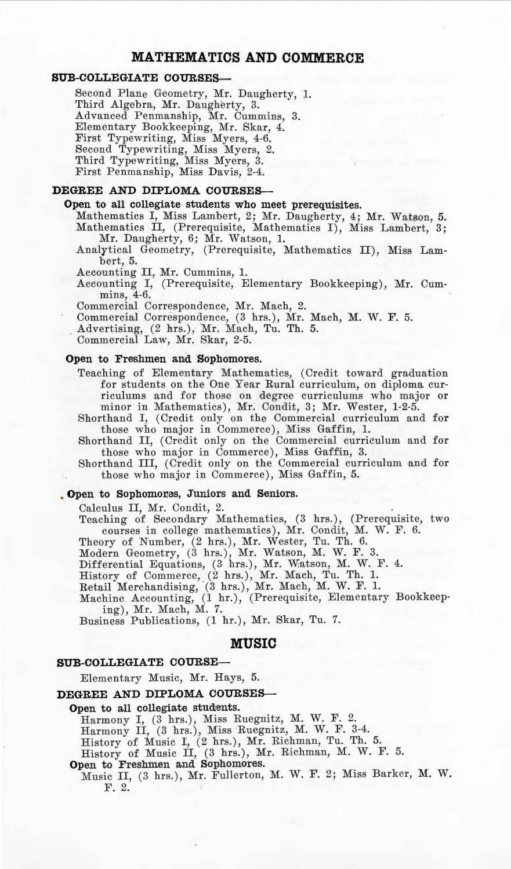# **MATHEMATICS AND COMMERCE**

## **SUB-COLLEGIATE COURSES--**

Second Plane Geometry, Mr. Daugherty, 1. Third Algebra, Mr. Daugherty, 3. Advanced Penmanship, Mr. Cummins, 3. Elementary Bookkeeping, Mr. Skar, 4. First Typewriting, Miss Myers, 4-6. Second Typewriting, Miss Myers, 2.<br>Third Typewriting, Miss Myers, 3.<br>First Penmanship, Miss Davis, 2-4.

# **DEGREE AND DIPLOMA COURSES--**

## **Open to all collegiate students who meet prerequisites.**

Mathematics I, Miss Lambert, 2; Mr. Daugherty, 4; Mr. Watson, 5.<br>Mathematics II, (Prerequisite, Mathematics I), Miss Lambert, 3; Mr. Daugherty, 6; Mr. Watson, 1.

Analytical Geometry, (Prerequisite, Mathematics II), Miss Lambert, 5.

Accounting II, **Mr.** Cummins, 1.

Accounting I, (Prerequisite, Elementary Bookkeeping), Mr. Cum-<br>mins, 4-6.

Commercial Correspondence, Mr. Mach, 2.

Commercial Correspondence, (3 hrs.), Mr. Mach, M. W. F. 5.

Advert ising, (2 hrs.), Mr. Mach, Tu. Th. 5. Commercial Law, Mr. Skar, 2-5.

## **Open to Freshmen and Sophomores.**

Teach ing of Elementary Mathematics, (Credit toward graduation for students on the One Year Rural curriculum, on diploma curriculums and for those on degree curriculums who major or minor in Mathematics), Mr. Condit, 3; Mr. Wester, 1-2-5.

Shorthand I, (Credit only on the Commercial curriculum and for those who major in Commerce), Miss Gaffin, 1.<br>Shorthand II, (Credit only on the Commercial curriculum and for

those who major in Commerce), Miss Gaffin, 3. Shorthand III, (Credit only on th e Commercial curriculum and for

those who major in Commerce), Miss Gaffin, 5.

# . Open to Sophomones, Juniors and Seniors.

Calculus II, Mr. Condit, 2.

Teaching of Secondary Mathematics, (3 hrs.), (Prerequisite, two courses in college mathematics), Mr. Condit, M. W. F. 6.

Theory of Number, (2 hrs.), Mr. Wester, Tu. Th. 6.

Modern Geometry, (3 hrs.), Mr. Watson, M. W. F. 3.<br>Differential Equations, (3 hrs.), Mr. Watson, M. W. F. 4.

History of Commerce, (2 hrs.), Mr. Mach, Tu. Th. 1.

Retail Merchandising, (3 hrs.), Mr. Mach, M. W. F. 1.<br>Machine Accounting, (1 hr.), (Prerequisite, Elementary Bookkeep-

ing), Mr. Mach, M. 7.

Business Publications, (1 hr.), Mr. Skar, Tu. 7.

#### **MUSIC**

#### **SUB-COLLEGIATE COURSE-**

Elementary Music, Mr. Hays, 5.

# DEGREE AND DIPLOMA COURSES-

# Open to all collegiate students.

Harmony I, (3 hrs.), Miss Ruegnitz, M. W. F. 2.<br>Harmony II, (3 hrs.), Miss Ruegnitz, M. W. F. 3-4.

History of Music I, (2 h rs.), Mr. Richman, Tu. Th. 5. History of Music II, (3 hrs.), Mr. Richman, M. W . F . 5.

Open to Freshmen and Sophomores.

Music II, (3 hrs.), Mr. Fullerton, M. W. F. 2; Miss Barker, M. W. F. 2.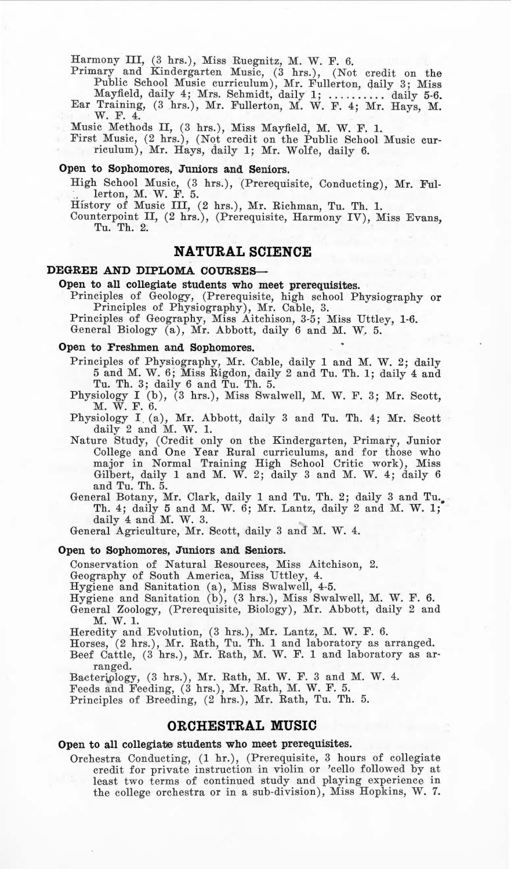Harmony III, (3 hrs.), Miss Ruegnitz, M. W. F. 6.

Primary and Kindergarten Music, (3 hrs.), (Not credit on the Public School Music curriculum), Mr. Fullerton, daily 3; Miss Mayfield, daily 4; Mrs. Schmidt, daily 1; .......... daily 5-6.<br>Ear Training, (3 hrs.), Mr. Fullerton, M. W. F. 4; Mr. Hays, M.

W. F. 4.

Music Methods II, (3 hrs.), Miss Mayfield, M. W. F. 1.

First Music, (2 hrs.), (Not credit on the Public School Music curriculum), Mr. Hays, daily l; Mr. Wolfe, daily 6.

## **Open to Sophomores, Juniors and Seniors.**

High School Music, (3 hrs.), (Prerequisite, Conducting), Mr. Ful:<br>1. lerton, M. W. F. 5.

Hfstory of Music III, (2 hrs.), Mr. Richman, Tu. Th. 1.

Counterpoint II, (2 hrs.), (Prerequisite, Harmony IV), Miss Evans, Tu. Th. 2.

# **NATURAL SCIENCE**

## **DEGREE AND DIPLOMA COURSES--**

# Open to all collegiate students who meet prerequisites.

Principles of Geology, (Prerequisite, high school Physiography or Principles of Physiography), Mr. Cable, 3.

Principles of Geography, Miss Aitchison, 3-5; Miss Uttley, 1-6.

General Biology (a), Mr. Abbott, daily 6 and M. W. 5.

#### **Open** to Freshmen and Sophomores.

Principles of Physiography, Mr. Cable, daily 1 and M. W. 2; daily 5 and M. W. 6; Miss Rigdon, daily 2 and Tu. Th. l; daily 4 and Tu. Th. 3; daily 6 and Tu. Th. 5.

Physiology I (b), (3 hrs.), Miss Swalwell, M. W. F. 3; Mr. Scott, M. W. F. 6.

Physiology I (a), Mr. Abbott, daily 3 and Tu. Th. 4; Mr. Scott daily  $2$  and  $M$ . W. 1.

Nature Study, ( Credit only on the Kindergarten, Primary, Junior College and One Year Rural curriculums, and for those who major in Normal Training High School Critic work ), Miss Gilbert, daily 1 and M. W. 2; daily 3 and M. W. 4; daily 6 and Tu. Th. 5.

General Botany, Mr. Clark, daily 1 and Tu. Th. 2; daily 3 and Tu. Th. 4; daily 5 and M. W. 6; Mr. Lantz, daily 2 and M. W. 1; daily 4 and M. W. 3.

General Agriculture, Mr. Scott, daily 3 and M. W. 4.

#### **Open to Sophomores, Juniors and Seniors.**

Conservation of Natural Resources, Miss Aitchison, 2.

Geography of South America, Miss Uttley, 4. Hygiene and Sanitation (a), Miss Swalwcll, 4-5.

Hygiene and Sanitation (b), (3 hrs.), Miss Swalwell, M. W. F. 6.

General Zoology, (Prerequisite, Biology), Mr. Abbott, daily 2 and **M. W. l.** 

Heredity and Evolution, (3 hrs.), Mr. Lantz, M. W. F. 6.

Horses, (2 hrs.), Mr. Rath, Tu. Th. 1 and laboratory as arranged.

Beef Cattle, (3 hrs.), Mr. Rath, M. W. F. 1 and laboratory as arranged.

Bacteriology, (3 hrs.), Mr. Rath, M. W. F. 3 and M. W. 4.

Feeds and Feeding, (3 hrs.), Mr. Rath, M. W. F. 5.

Principles of Breeding, (2 hrs.), Mr. Rath, Tu. Th. 5.

# **ORCHESTRAL MUSIC**

#### **Open to all collegiate students who meet prerequisites.**

Orchestra Conducting, (1 hr.), (Prerequisite, 3 hours of collegiate credit for private instruction in violin or 'cello followed by at least two terms of continued study and playing experience in the college orch estra or in a sub-division), Miss Hopkins, W. 7.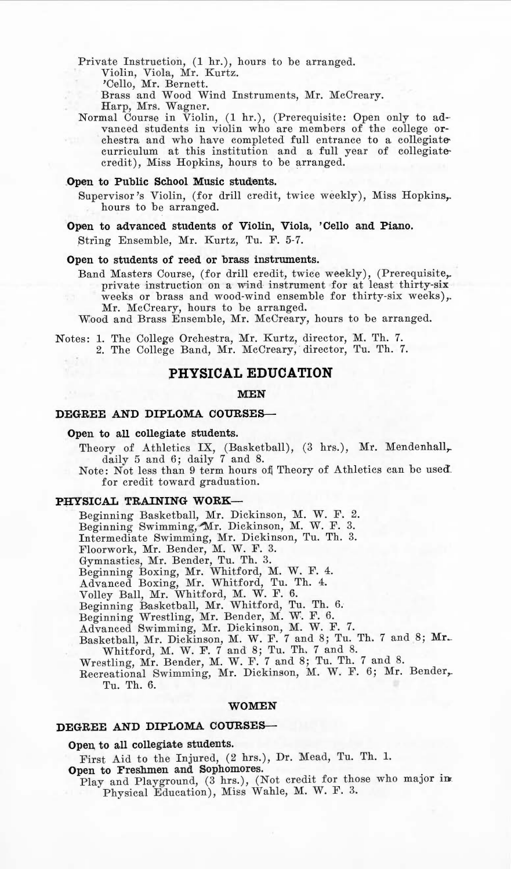Private Instruction, (1 hr.), hours to be arranged. Violin, Viola, Mr. Kurtz. 'Cello, Mr. Bernett.

Brass and Wood Wind Instruments, Mr. McCreary.

Harp, Mrs. Wagner.

Normal Course in Violin,  $(1 \text{ hr.})$ , (Prerequisite: Open only to advanced students in violin who are members of the college orchestra and who have completed full entrance to a collegiate curriculum at this institution and a full year of collegiatecredit), Miss Hopkins, hours to be arranged.

## **Open to Public School Music students.**

Supervisor's Violin, (for drill credit, twice weekly), Miss Hopkins,. hours to be arranged.

**Open to advanced students of Violin, Viola, 'Cello and Piano.**  String Ensemble, Mr. Kurtz, Tu. F. 5-7.

**Open to students of reed or brass instruments.** 

Band Masters Course, (for drill credit, twice weekly), (Prerequisite, private instruction on a wind instrument for at least thirty-six weeks or brass and wood-wind ensemble for thirty-six weeks),. Mr. McCreary, hours to be arranged.

Wood and Brass Ensemble, Mr. McCreary, hours to be arranged.

Notes: 1. The College Orchestra, Mr. Kurtz, director, M. Th. 7. 2. The College Band, Mr. McCreary, director, Tu. Th. 7.

# **PHYSICAL EDUCATION**

#### **MEN**

# **DEGREE AND DIPLOMA COURSES-**

#### Open to all collegiate students.

Theory of Athletics IX, (Basketball), (3 hrs.), Mr. Mendenhall,... daily  $5$  and  $6$ ; daily  $7$  and  $8$ .

Note: Not less than 9 term hours of Theory of Athletics can be used. for credit toward graduation.

#### **PHYSICAL TRAINING WORK-**

Beginning Basketball, Mr. Dickinson, M. W. F. 2.

Beginning Swimming, Mr. Dickinson, M. W. F. 3.

Intermediate Swimming, Mr. Dickinson, Tu. Th. 3.<br>Floorwork, Mr. Bender, M. W. F. 3.

Gymnastics, Mr. Bender, Tu. Th. 3.

Beginning Boxing, Mr. Whitford, M. W. F. 4.

Advanced Boxing, Mr. Whitford, Tu. Th. 4.

Volley Ball, Mr. Whitford, M. W. F. 6.

Beginning Basketball, Mr. Whitford, Tu. Th. 6.

Beginning Wrestling, Mr. Bender, M. W. F. 6.

Advanced Swimming, Mr. Dickinson, M. W. F. 7.<br>Basketball, Mr. Dickinson, M. W. F. 7 and 8; Tu. Th. 7 and 8; Mr. Whitford, M. W. F. 7 and 8; Tu. Th. 7 and 8.

Wrestling, Mr. Bender, M. W. F. 7 and 8; Tu. Th. 7 and 8.

Recreational Swimming, Mr. Dickinson, M. W. F. 6; Mr. Bender,. Tu. Th. 6.

#### **WOMEN**

# **DEGREE AND DIPLOMA COURSES-**

# Open to all collegiate students.

First Aid to the Injured, (2 hrs.), Dr. Mead, Tu. Th. 1.

Open to Freshmen and Sophomores.

Play and Playground, (3 hrs.), (Not credit for those who major in Physical Education), Miss Wahle, M. W. F. 3.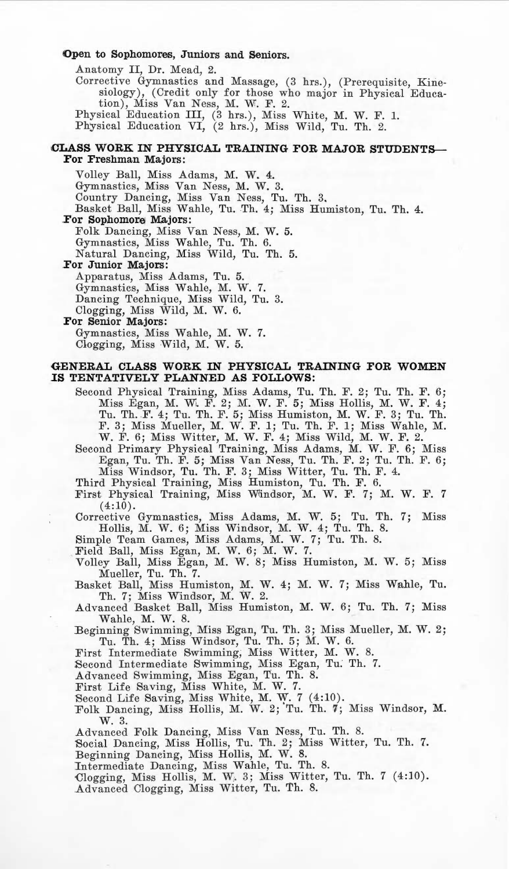## Open to Sophomores, Juniors and Seniors.

Anatomy II, Dr. Mead, 2.

Corrective Gymnastics and Massage, (3 hrs.), (Prerequisite, Kinesiology), (Credit only for those who major in Physical Education), Miss Van Ness, M. W. F. 2.<br>Physical Education III, (3 hrs.), Miss White, M. W. F. 1.

Physical Education VI, (2 hrs.), Miss Wild, Tu. Th. 2.

# CLASS WORK IN PHYSICAL TRAINING FOR MAJOR STUDENTS-**For Freshman Majors:**

Volley Ball, Miss Adams, M. W. 4. Gymnastics, Miss Van Ness, **M. W.** 3\_ Country Dancing, Miss Van Ness, Tu. Th. 3. Basket Ball, Miss Wahle, Tu. Th. 4; Miss Humiston, Tu. Th. 4. For Sophomore Majors: Folk Dancing, Miss Van Ness, M. W. 5. Gymnastics, Miss Wahle, Tu. Th. 6.

Natural Dancing, Miss Wild, Tu. Th. 5 .

#### For Junior Majors:

Apparatus, Miss Adams, Tu. 5. Gymnastics, Miss Wahle, M. W. 7. Dancing Technique, Miss Wild, Tu. 3. Clogging, Miss Wild, M. W. 6.

# **For Senior Majors:**

Gymnastics, Miss Wahle, M. W. 7. Clogging, Miss Wild, M. W. 5.

# **GENERAL CLASS WORK** IN **PHYSICAL TRAINING FOR WOMEN .IS TENTATIVELY PLANNED AS FOLLOWS:**

Second Physical Training, Miss Adams, Tu. Th. F. 2; Tu. Th. F. 6; Miss Egan, M. W. F. 2; M. W. F. 5; Miss Hollis, M. W. F. 4; Tu. Th. F. 4; Tu. Th. F. 5; Miss Humiston, M. W. F. 3; Tu. Th.<br>F. 3; Miss Mueller, M. W. F. 1; Tu. Th. F. 1; Miss Wahle, M.<br>W. F. 6; Miss Witter, M. W. F. 4; Miss Wild, M. W. F. 2.

Second Primary Physical Training, Miss Adams, M. W. F. 6; Miss Egan, Tu. Th. F. 5; Miss Van Ness, Tu. Th. F. 2; Tu. Th. F. 6;

Miss Windsor, Tu. Th. F. 3; Miss Witter, Tu. Th. F. 4.

Third Physical Training, Miss Humiston, Tu. Th. F. 6. First Physical Training, Miss Windsor, M. W. F. 7; M. W. F. 7  $(4:10)$ .

Corrective Gymnastics, Miss Adams, M. W. 5; Tu. Th. 7; Miss Hollis, M. W. 6; Miss Windsor, M. W. 4; Tu. Th. 8.

Simple Team Games, Miss Adams, M. W. 7; Tu. Th. 8.

Field Ball, Miss Egan, M. W. 6; M. W. 7.

Volley Ball, Miss Egan, M. W. 8; Miss Humiston, M. W. 5; Miss Mueller, Tu. Th. 7. Basket Ball, Miss Humiston, M. W. 4; M. W. 7; Miss Wahle, Tu.

Th. 7; Miss Windsor, M. W . 2. Advanced Basket Ball, Miss Humiston, M. W. 6; Tu. Th. 7; Miss

Wahle, M. W. 8.

Beginning Swimming, Miss Egan, Tu. Th. 3; Miss Mueller, M. W. 2; Tu. Th. 4; Miss Windsor, Tu. Th. 5; M. W. 6.<br>First Intermediate Swimming, Miss Witter, M. W. 8.

.Second Intermediate Swimming, Miss Egan, Tu: Th. 7.

Advanced Swimming, Miss Egan, Tu. Th. 8. First Life Saving, Miss White, M. W. 7.

Second Life Saving, Miss White, M. W. 7 (4:10).<br>Folk Dancing, Miss Hollis, M. W. 2; Tu. Th. 7; Miss Windsor, M. w. 3.

Advanced Folk Dancing, Miss Van Ness, Tu. Th. 8.

Social Dancing, Miss Hollis, Tu. Th. 2; Miss Witter, Tu. Th. 7.

Beginning Dancing, Miss Hollis, M. W . 8. Intermediate Dancing, Miss Wahle, Tu. Th. 8.

·Clogging, Miss Hollis, M. W. 3; Miss Witter, Tu. Th. 7 (4:10) . .Advanced Clogging, Miss Witter, Tu. Th. 8.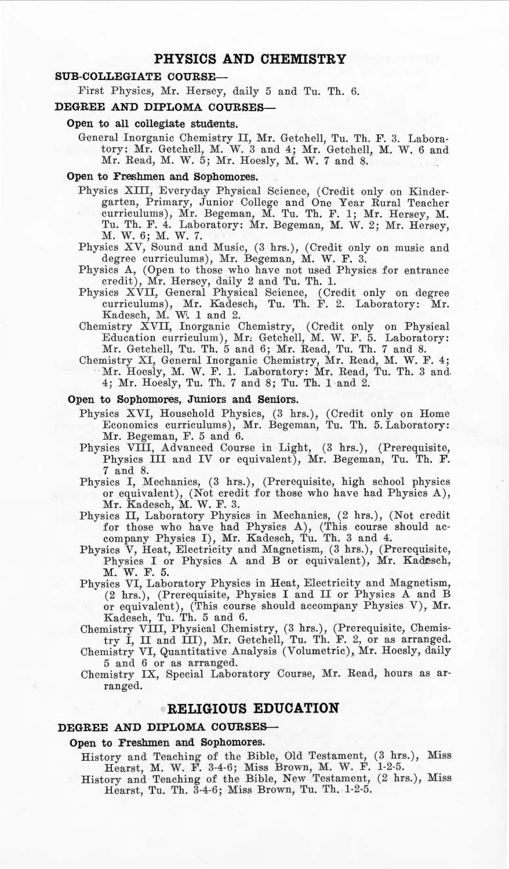# **PHYSICS AND CHEMISTRY**

# **SUB-COLLEGIATE COURSE-**

First Physics, Mr. Hersey, daily 5 and Tu. Th. 6.

#### **DEGREE AND DIPLOMA COURSES-**

#### Open to all collegiate students.

General Inorganic Chemistry II, Mr. Getchell, Tu. Th. F. 3. Laboratory : Mr. Getchell, M. W. 3 and 4; Mr. Getchell, M. W. 6 and Mr. Read, M. W. 5; Mr. Hoesly, M. W. 7 and 8.

# Open to Freshmen and Sophomores.

- Physics XIII, Everyday Physical Science, (Credit only on Kindergarten, Primary, Junior College and One Year Rural Teacher curriculums), Mr. Begeman, M. Tu. Th. F . l; Mr. Hersey, M. Tu. Th. F. 4. Laboratory: Mr. Begeman, M. 1V. 2; Mr. Hersey, M. W. 6; M. W. 7.
- Physics XV, Sound and Music, (3 hrs.), (Credit only on music and degree curriculums), Mr. Begeman, M. W. F. 3.
- Physics A, (Open to those who have not used Physics for entrance
- cr edit) , Mr. Hersey, daily 2 and Tu. Th. 1. Physics XVII, General Physical Science, (Credit only on degree curriculums), Mr. Kadesch, 'ru. Th. F. 2. Laboratory: Mr. Kadesch, M. W. 1 and 2.
- Chemistry XVII, Inorganic Chemistry, (Credit only on Physical Education curriculum), Mr, Getchell, M. W. F. 5. Laboratory: Mr. Getchell, Tu. Th. 5 and 6; Mr. Read, Tu. Th. 7 and 8.
- Chemistry XI, General Inorganic Chemistry, Mr. Read, M. W. F. 4; Mr. Hoesly, M. W. F. 1. Laboratory: Mr. Read, Tu. Th. 3 and. 4; Mr. Hoesly, Tu. Th. 7 and 8; Tu. Th. 1 and 2.

### Open to Sophomores, Juniors and Seniors.

- Physics XVI, Household Physics, (3 hrs.), (Credit only on Home Economics curriculums), Mr. Begeman, Tu. Th. 5. Laboratory: Mr. Begeman, F. 5 and 6.
- Physics VIII, Advanced Course in Light, (3 hrs.), (Prerequisite, Physics III and IV or equivalent), Mr. Begeman, Tu. Th. F. 7 and 8.
- Physics I, Mechanics, (3 hrs.), (Prerequisite, high school physics or equivalent), (Not credit for those who have had Physics A),
- Mr. Kadesch, **M. W.** F. 3. Physics II, Laboratory Physics in Mechanics, (2 hrs.), (Not credit for those who have had Physics A), (This course should accompany Physics I), Mr. Kadesch, Tu. Th. 3 and 4.
- Physics V, Heat, Electricity and Magnetism, (3 hrs.), (Prerequisite, Physics I or Physics A and B or equivalent), Mr. Kadesch, M. W. F. 5.
- Physics VI, Laboratory Physics in Heat, Electricity and Magnetism, (2 hrs.), (Prerequisite, Physics I and II or Physics A and B or equivalent), (This course should accompany Physics V), Mr. Kadesch, Tu. Th. 5 and 6.

Chemistry VIII, Physical Chemistry, (3 hrs.), (Prerequisite, Chemis-try I, II and III), Mr. Getchell, Tu. Th. F. 2, or as arranged. Chemistry VI, Quantitative Analysis (Volumetric), Mr. Hoesly, daily

5 and 6 or as arranged.

Chemistry IX, Special Laboratory Course, Mr. Read, hours as arranged.

# **RELIGIOUS EDUCATION**

# DEGREE AND DIPLOMA COURSES--

#### Open to Freshmen and Sophomores.

History and Teaching of the Bible, Old Testament, (3 hrs.), Miss Hearst, M. W. F. 3-4-6; Miss Brown, M. W. F. 1-2-5.

History and Teaching of the Bible, New Testament, (2 hrs.), Miss Hearst, Tu. Th. 3-4-6; Miss Brown, Tu. Th. 1-2-5.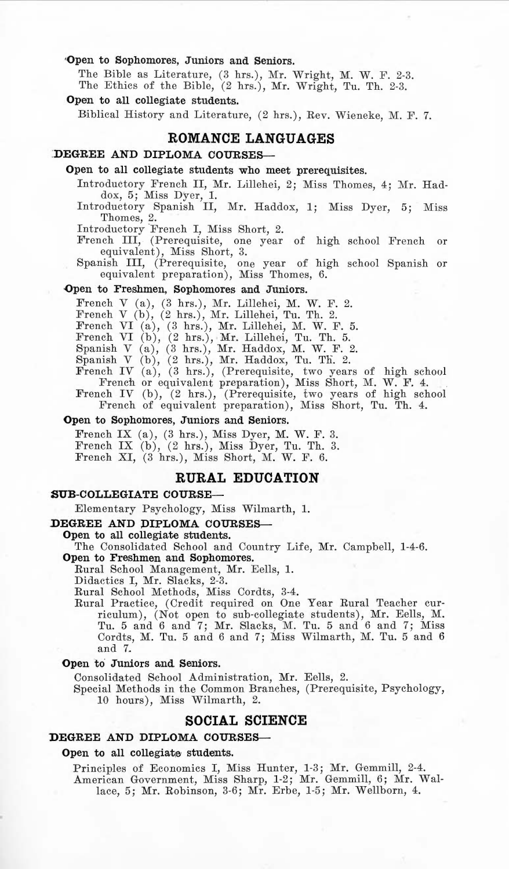## 'Open to Sophomores, Juniors and Seniors.

The Bible as Literature, (3 hrs.), Mr. Wright, M. W. F. 2-3. The Ethics of the Bible, (2 hrs.), Mr. Wright, Tu. Th. 2-3.

# Open to all collegiate students.

Biblical History and Literature, (2 hrs.), Rev. Wieneke, M. F. 7.

# **ROMANCE LANGUAGES**

# **:DEGREE AND DIPLOMA COURSES-**

## Open to all collegiate students who meet prerequisites.

Introductory French II, Mr. Lillohei, 2; Miss Thomes, 4; Mr. Had-

dox, 5; Miss Dyer, 1.<br>Introductory Spanish II, Mr. Haddox, 1; Miss Dyer, 5; Miss Thomes, 2.

Introductory French I, Miss Short, 2.

French III, (Prerequisite, one year of high school French or equivalent), Miss Short, 3.

Spanish III, (Prerequisite, one year of high school Spanish or equivalent preparation), Miss Thomes, 6.

#### -Open to Freshmen, Sophomores and Juniors.

French V (a),  $(3 \text{ hrs.})$ , Mr. Lillehei, M. W. F. 2.

French V  $(b)$ ,  $(2 \text{ hrs.})$ , Mr. Lillehei, Tu. Th. 2.

French VI (a), (3 hrs.), Mr. Lillehei, M. W. F. 5.

French VI (b), (2 hrs.), Mr. Lillehei, Tu. Th. 5.

Spanish V (a),  $(3 \text{ hrs.})$ , Mr. Haddox, M. W. F. 2.

Spanish V (b), (2 hrs.), Mr. Haddox, Tu. Th. 2.<br>French IV (a), (3 hrs.), (Prerequisite, two years of high school

French or equivalent preparation), Miss Short, M. W. F. 4. French IV (b), (2 hrs.), (Prerequisite, two years of high school

French of equivalent preparation), Miss Short, Tu. Th. 4.

#### **Open** to Sophomores, Juniors and Seniors.

French IX (a), (3 hrs.), Miss Dyer, M. W. F. 3. French IX (b), (2 hrs.), Miss Dyer, Tu. Th. 3. French XI, (3 hrs.), Miss Short, M. W. F. 6.

## **RURAL EDUCATION**

## **SUB-COLLEGIATE COURSE-**

E lementary Psychology, Miss Wilmarth, 1.

#### **DEGREE AND DIPLOMA COURSES-**

Open to all collegiate students.

The Consolidated School and Country Life, Mr. Campbell, 1-4-6. **Open** to Freshmen and Sophomores.

Rural School Management, Mr. Eells, 1.

Didactics I, Mr. Slacks, 2-3.

Rural School Methods, Miss Cordts, 3-4. Rural Practice, (Credit required on One Year Rural Teacher curriculum), (Not open to sub-collegiate students), Mr. Eells, M. Tu. 5 and 6 and 7; Mr. Slacks, M. Tu . 5 and 6 and 7; Miss Cordts, M. Tu. 5 and 6 and 7; Miss Wilmarth, M. Tu. 5 and 6 and 7.

#### **Open** to Juniors and. Seniors.

Consolidated School Administration, Mr. Eells, 2.

Special Methods in the Common Branches, (Prerequisite, Psychology, 10 hours), Miss Wilmarth, 2.

# **SOCIAL SCIENCE**

#### **DEGREE AND DIPLOMA COURSES-**

#### **Open** to all collegiate students.

Principles of Economics I, Miss Hunter, 1-3; Mr. Gemmill, 2-4. American Government, Miss Sharp, 1-2; Mr. Gemmill, 6; Mr. Wallace, 5; Mr. Robinson, 3-6; Mr. Erbe, 1-5; Mr. Wellborn, 4.